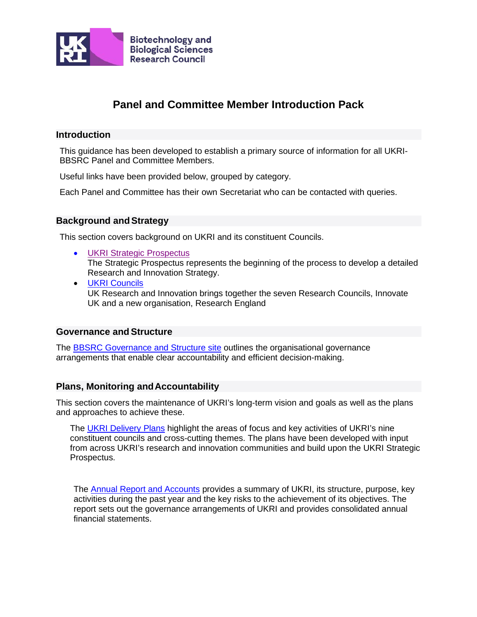

# **Panel and Committee Member Introduction Pack**

# **Introduction**

This guidance has been developed to establish a primary source of information for all UKRI-BBSRC Panel and Committee Members.

Useful links have been provided below, grouped by category.

Each Panel and Committee has their own Secretariat who can be contacted with queries.

# **Background andStrategy**

This section covers background on UKRI and its constituent Councils.

- **[UKRI Strategic](https://www.ukri.org/about-us/what-we-do/corporate-plan/) Prospectus** The Strategic Prospectus represents the beginning of the process to develop a detailed Research and Innovation Strategy.
- UKRI [Councils](https://www.ukri.org/about-us/our-councils/) UK Research and Innovation brings together the seven Research Councils, Innovate UK and a new organisation, Research England

# **Governance and Structure**

The [BBSRC Governance and Structure site](https://bbsrc.ukri.org/about/governance-structure/) outlines the organisational governance arrangements that enable clear accountability and efficient decision-making.

# **[Plans, Monitoring a](https://epsrc.ukri.org/about/governance/governancemanual/plansmonitoring/)ndAccountability**

This section covers the maintenance of UKRI's long-term vision and goals as well as the plans and approaches to achieve these.

The [UKRI Delivery Plans](https://www.ukri.org/about-us/delivery-plans/) highlight the areas of focus and key activities of UKRI's nine constituent councils and cross-cutting themes. The plans have been developed with input from across UKRI's research and innovation communities and build upon the UKRI Strategic Prospectus.

The [Annual Report and Accounts](https://www.ukri.org/files/about/ukri-annual-report-and-accounts-2018-2019-pdf/) provides a summary of UKRI, its structure, purpose, key activities during the past year and the key risks to the achievement of its objectives. The report sets out the governance arrangements of UKRI and provides consolidated annual financial statements.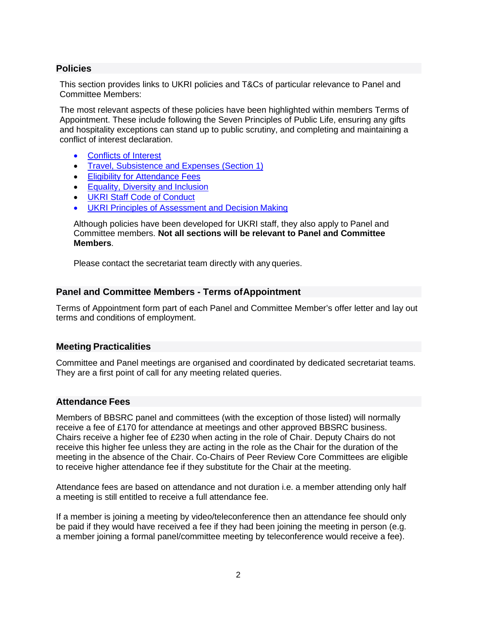# **[Policies](https://epsrc.ukri.org/about/governance/governancemanual/accountability/)**

This section provides links to UKRI policies and T&Cs of particular relevance to Panel and Committee Members:

The most relevant aspects of these policies have been highlighted within members Terms of Appointment. These include following the Seven Principles of Public Life, ensuring any gifts and hospitality exceptions can stand up to public scrutiny, and completing and maintaining a conflict of interest declaration.

- [Conflicts of Interest](https://www.ukri.org/about-us/our-structure/conflicts-of-interests/#%3A%7E%3Atext%3DDefinitions%2Cinfluenced%20by%20a%20secondary%20interest.%26text%3Da%20direct%20or%20indirect%20financial%2Cnon-financial%20or%20personal%20interests)
- [Travel, Subsistence and Expenses \(Section](https://www.ukri.org/files/termsconditions/ukri-travel-and-subsistence-policy-pdf/) 1)
- **[Eligibility for Attendance Fees](#page-2-0)**
- [Equality, Diversity and](https://www.ukri.org/about-us/policies-standards-and-data/good-research-resource-hub/equality-diversity-and-inclusion/) Inclusion
- **[UKRI Staff Code of Conduct](https://www.ukri.org/files/termsconditions/ukri-code-of-conduct-pdf/)**
- [UKRI Principles of Assessment and Decision](https://www.ukri.org/apply-for-funding/how-we-make-decisions/) Making

Although policies have been developed for UKRI staff, they also apply to Panel and Committee members. **Not all sections will be relevant to Panel and Committee Members**.

Please contact the secretariat team directly with any queries.

### **Panel and Committee Members - Terms ofAppointment**

Terms of Appointment form part of each Panel and Committee Member's offer letter and lay out terms and conditions of employment.

#### **Meeting Practicalities**

Committee and Panel meetings are organised and coordinated by dedicated secretariat teams. They are a first point of call for any meeting related queries.

# **Attendance Fees**

Members of BBSRC panel and committees (with the exception of those listed) will normally receive a fee of £170 for attendance at meetings and other approved BBSRC business. Chairs receive a higher fee of £230 when acting in the role of Chair. Deputy Chairs do not receive this higher fee unless they are acting in the role as the Chair for the duration of the meeting in the absence of the Chair. Co-Chairs of Peer Review Core Committees are eligible to receive higher attendance fee if they substitute for the Chair at the meeting.

Attendance fees are based on attendance and not duration i.e. a member attending only half a meeting is still entitled to receive a full attendance fee.

If a member is joining a meeting by video/teleconference then an attendance fee should only be paid if they would have received a fee if they had been joining the meeting in person (e.g. a member joining a formal panel/committee meeting by teleconference would receive a fee).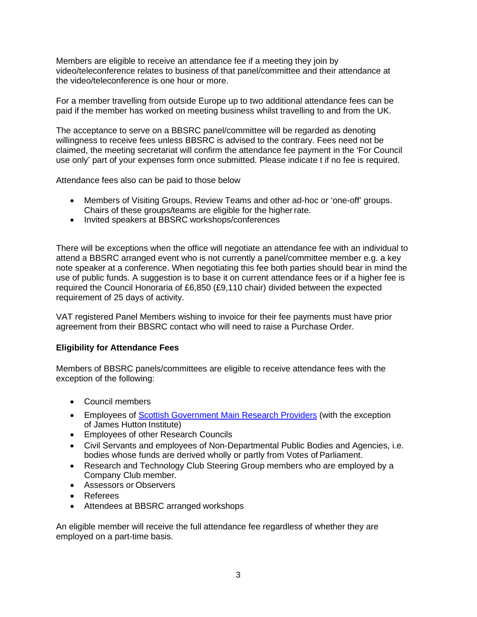Members are eligible to receive an attendance fee if a meeting they join by video/teleconference relates to business of that panel/committee and their attendance at the video/teleconference is one hour or more.

For a member travelling from outside Europe up to two additional attendance fees can be paid if the member has worked on meeting business whilst travelling to and from the UK.

The acceptance to serve on a BBSRC panel/committee will be regarded as denoting willingness to receive fees unless BBSRC is advised to the contrary. Fees need not be claimed, the meeting secretariat will confirm the attendance fee payment in the 'For Council use only' part of your expenses form once submitted. Please indicate t if no fee is required.

Attendance fees also can be paid to those below

- Members of Visiting Groups, Review Teams and other ad-hoc or 'one-off' groups. Chairs of these groups/teams are eligible for the higherrate.
- Invited speakers at BBSRC workshops/conferences

There will be exceptions when the office will negotiate an attendance fee with an individual to attend a BBSRC arranged event who is not currently a panel/committee member e.g. a key note speaker at a conference. When negotiating this fee both parties should bear in mind the use of public funds. A suggestion is to base it on current attendance fees or if a higher fee is required the Council Honoraria of £6,850 (£9,110 chair) divided between the expected requirement of 25 days of activity.

VAT registered Panel Members wishing to invoice for their fee payments must have prior agreement from their BBSRC contact who will need to raise a Purchase Order.

#### **Eligibility for Attendance Fees**

Members of BBSRC panels/committees are eligible to receive attendance fees with the exception of the following:

- <span id="page-2-0"></span>• Council members
- Employees of [Scottish Government Main Research Providers](https://www2.gov.scot/topics/research) (with the exception of James Hutton Institute)
- Employees of other Research Councils
- Civil Servants and employees of Non-Departmental Public Bodies and Agencies, i.e. bodies whose funds are derived wholly or partly from Votes of Parliament.
- Research and Technology Club Steering Group members who are employed by a Company Club member.
- Assessors or Observers
- Referees
- Attendees at BBSRC arranged workshops

An eligible member will receive the full attendance fee regardless of whether they are employed on a part-time basis.